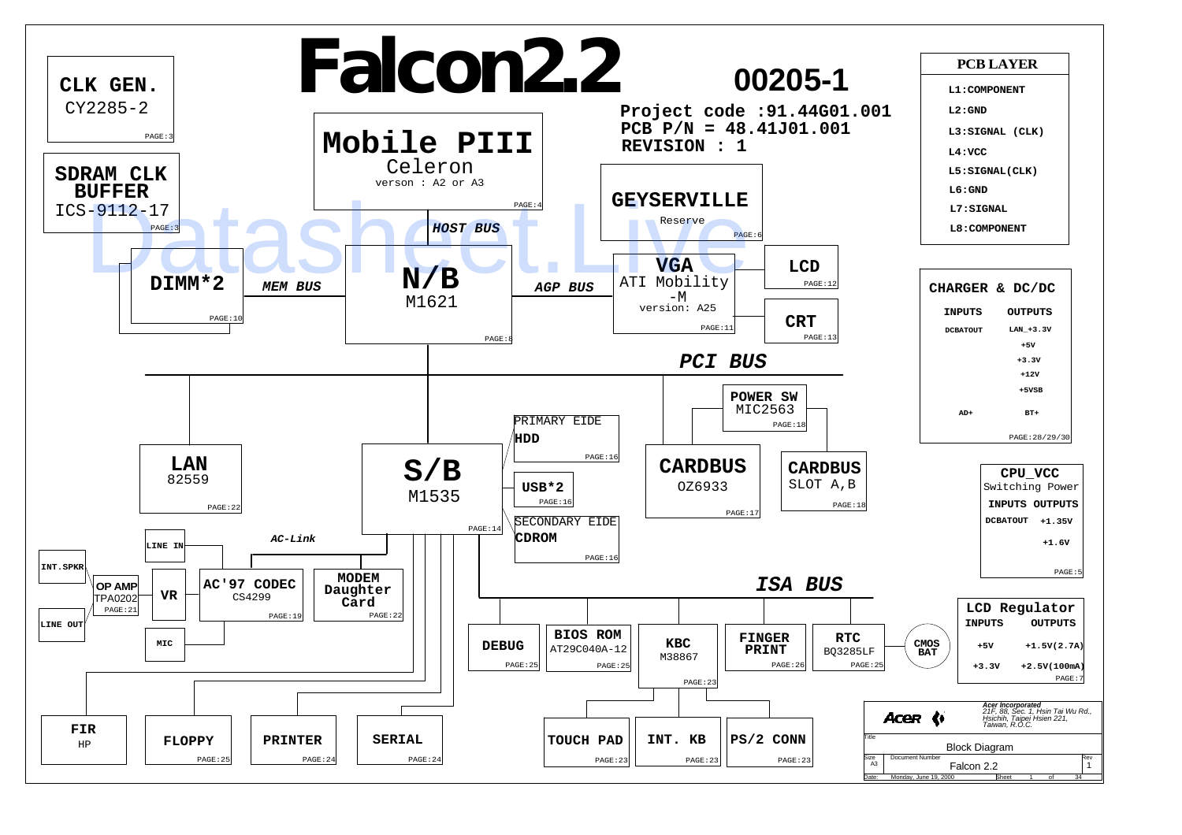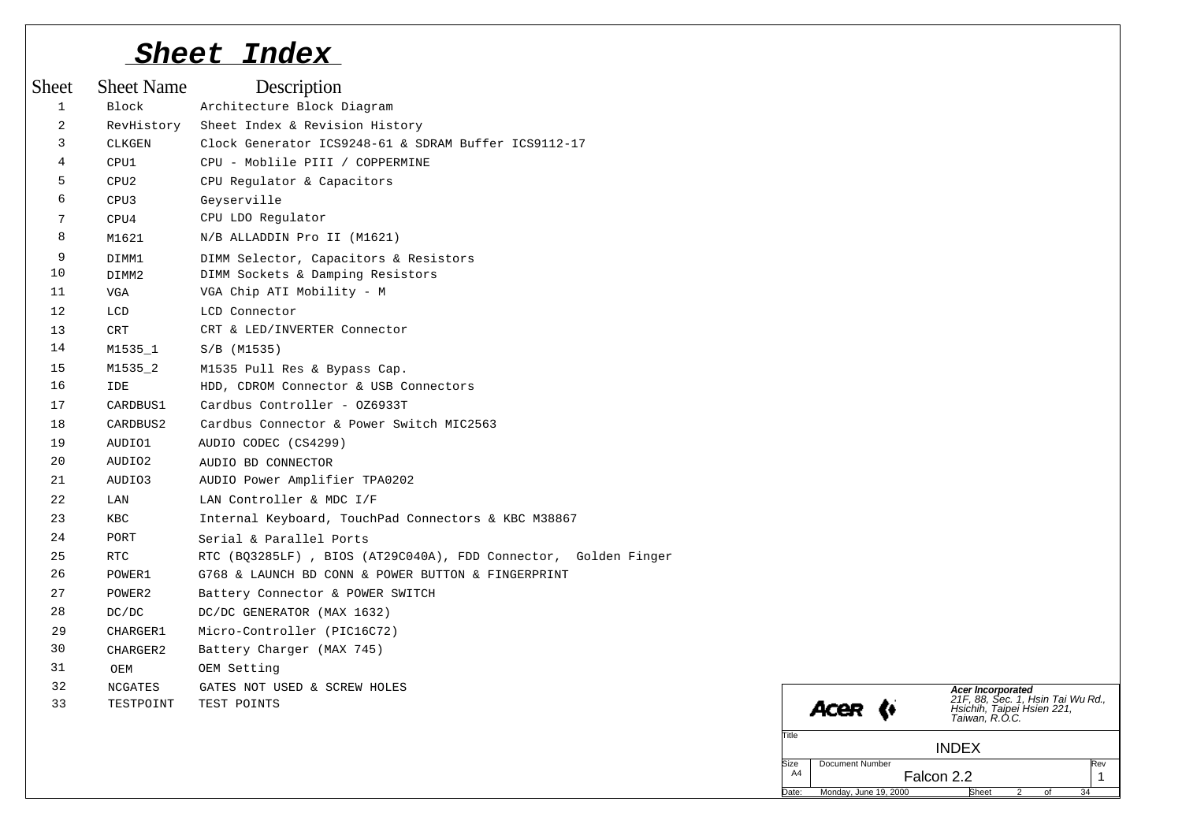# *Sheet Index*

| <b>Sheet</b>   | <b>Sheet Name</b> | Description                                                    |                                                                                                                   |
|----------------|-------------------|----------------------------------------------------------------|-------------------------------------------------------------------------------------------------------------------|
| $\mathbf{1}$   | Block             | Architecture Block Diagram                                     |                                                                                                                   |
| 2              | RevHistory        | Sheet Index & Revision History                                 |                                                                                                                   |
| 3              | CLKGEN            | Clock Generator ICS9248-61 & SDRAM Buffer ICS9112-17           |                                                                                                                   |
| $\overline{4}$ | CPU1              | CPU - Moblile PIII / COPPERMINE                                |                                                                                                                   |
| 5              | CPU2              | CPU Regulator & Capacitors                                     |                                                                                                                   |
| 6              | CPU3              | Geyserville                                                    |                                                                                                                   |
| 7              | CPU4              | CPU LDO Regulator                                              |                                                                                                                   |
| 8              | M1621             | N/B ALLADDIN Pro II (M1621)                                    |                                                                                                                   |
| 9              | DIMM1             | DIMM Selector, Capacitors & Resistors                          |                                                                                                                   |
| 10             | DIMM2             | DIMM Sockets & Damping Resistors                               |                                                                                                                   |
| 11             | VGA               | VGA Chip ATI Mobility - M                                      |                                                                                                                   |
| 12             | LCD               | LCD Connector                                                  |                                                                                                                   |
| 13             | $\mbox{CRT}$      | CRT & LED/INVERTER Connector                                   |                                                                                                                   |
| 14             | M1535_1           | $S/B$ (M1535)                                                  |                                                                                                                   |
| 15             | M1535_2           | M1535 Pull Res & Bypass Cap.                                   |                                                                                                                   |
| 16             | <b>IDE</b>        | HDD, CDROM Connector & USB Connectors                          |                                                                                                                   |
| 17             | CARDBUS1          | Cardbus Controller - 0Z6933T                                   |                                                                                                                   |
| 18             | CARDBUS2          | Cardbus Connector & Power Switch MIC2563                       |                                                                                                                   |
| 19             | AUDIO1            | AUDIO CODEC (CS4299)                                           |                                                                                                                   |
| 20             | AUDIO2            | AUDIO BD CONNECTOR                                             |                                                                                                                   |
| 21             | AUDIO3            | AUDIO Power Amplifier TPA0202                                  |                                                                                                                   |
| 22             | LAN               | LAN Controller & MDC I/F                                       |                                                                                                                   |
| 23             | <b>KBC</b>        | Internal Keyboard, TouchPad Connectors & KBC M38867            |                                                                                                                   |
| 24             | PORT              | Serial & Parallel Ports                                        |                                                                                                                   |
| 25             | RTC               | RTC (BQ3285LF), BIOS (AT29C040A), FDD Connector, Golden Finger |                                                                                                                   |
| 26             | POWER1            | G768 & LAUNCH BD CONN & POWER BUTTON & FINGERPRINT             |                                                                                                                   |
| 27             | POWER2            | Battery Connector & POWER SWITCH                               |                                                                                                                   |
| 28             | DC/DC             | DC/DC GENERATOR (MAX 1632)                                     |                                                                                                                   |
| 29             | CHARGER1          | Micro-Controller (PIC16C72)                                    |                                                                                                                   |
| 30             | CHARGER2          | Battery Charger (MAX 745)                                      |                                                                                                                   |
| 31             | OEM               | OEM Setting                                                    |                                                                                                                   |
| 32             | <b>NCGATES</b>    | GATES NOT USED & SCREW HOLES                                   |                                                                                                                   |
| 33             | TESTPOINT         | TEST POINTS                                                    | Acer Incorporated<br>21F, 88, Sec. 1, Hsin Tai Wu Rd.,<br>Hsichih, Taipei Hsien 221,<br>Taiwan, R.O.C.<br>Acer (* |
|                |                   |                                                                | Title<br><b>INDEX</b>                                                                                             |
|                |                   |                                                                | Document Number<br>Size<br>Rev<br>A4<br>Falcon 2.2<br>$\mathbf{1}$                                                |
|                |                   |                                                                | Monday, June 19, 2000<br>Date:<br><b>Sheet</b><br>34<br>$\overline{2}$<br>of                                      |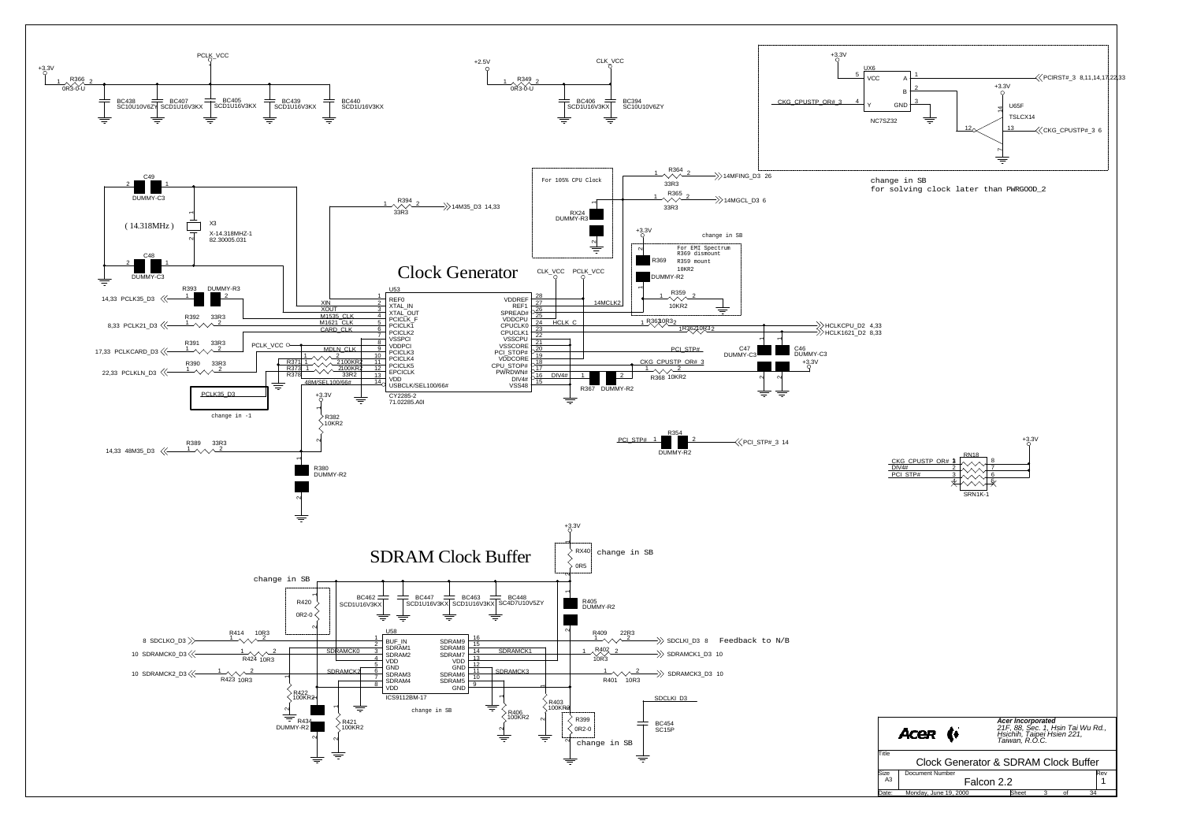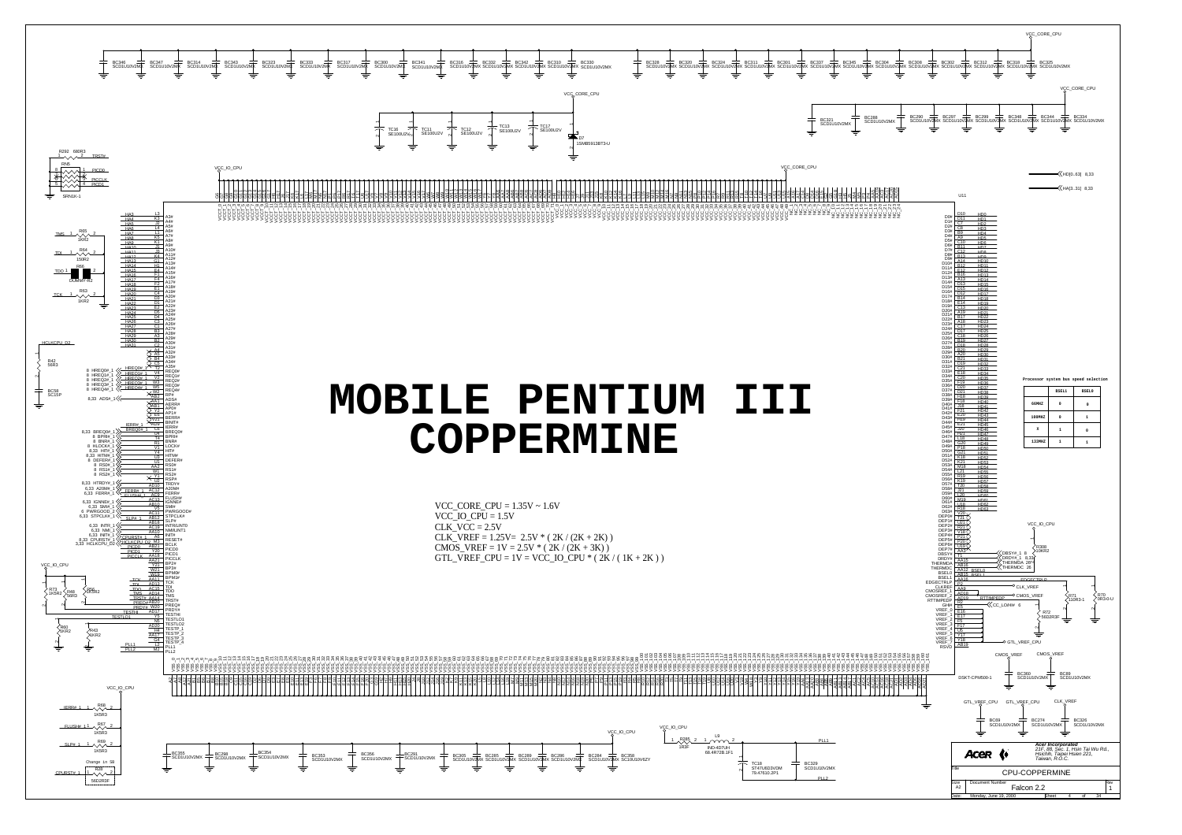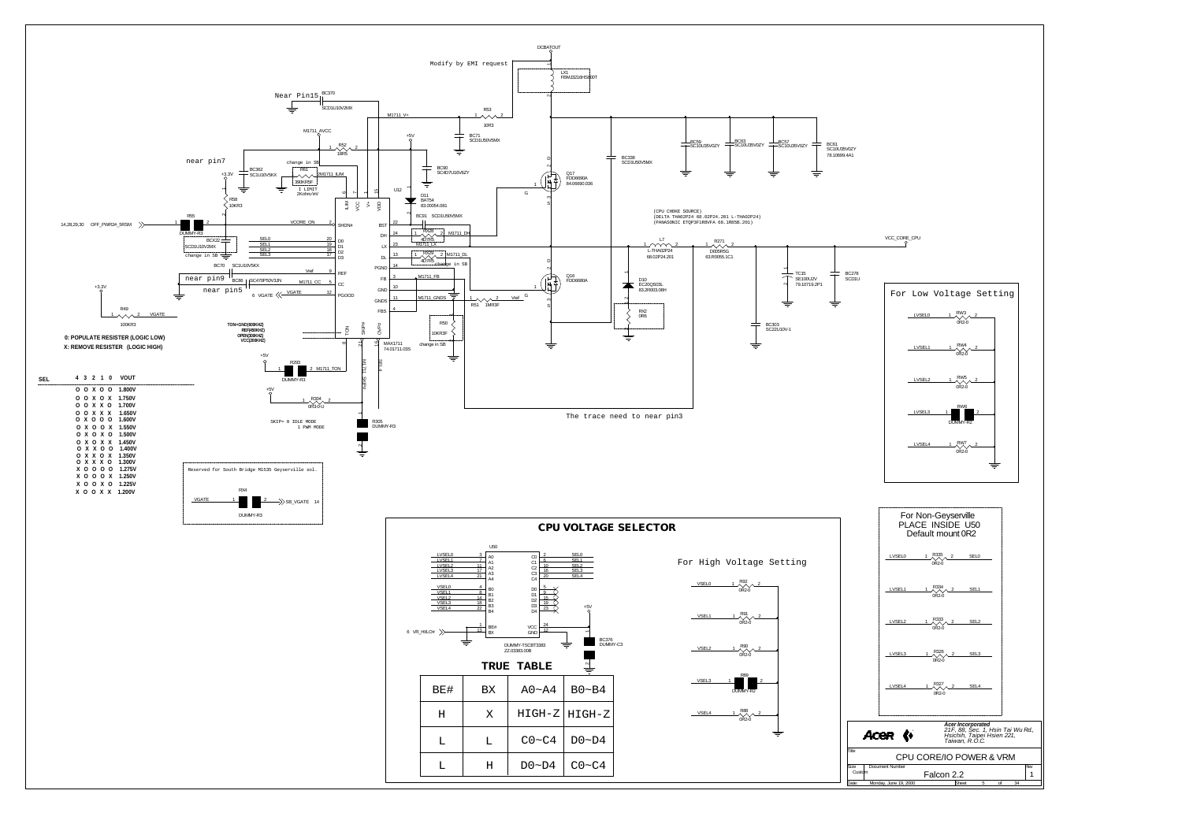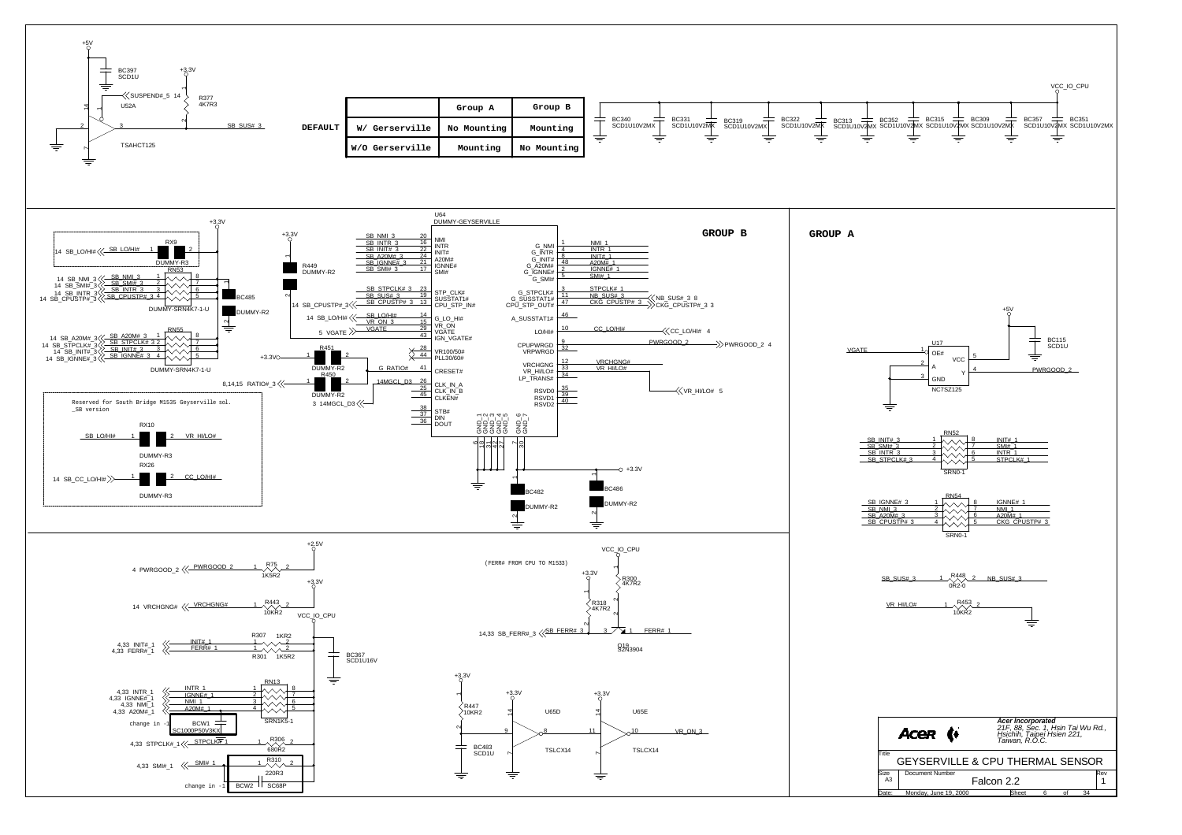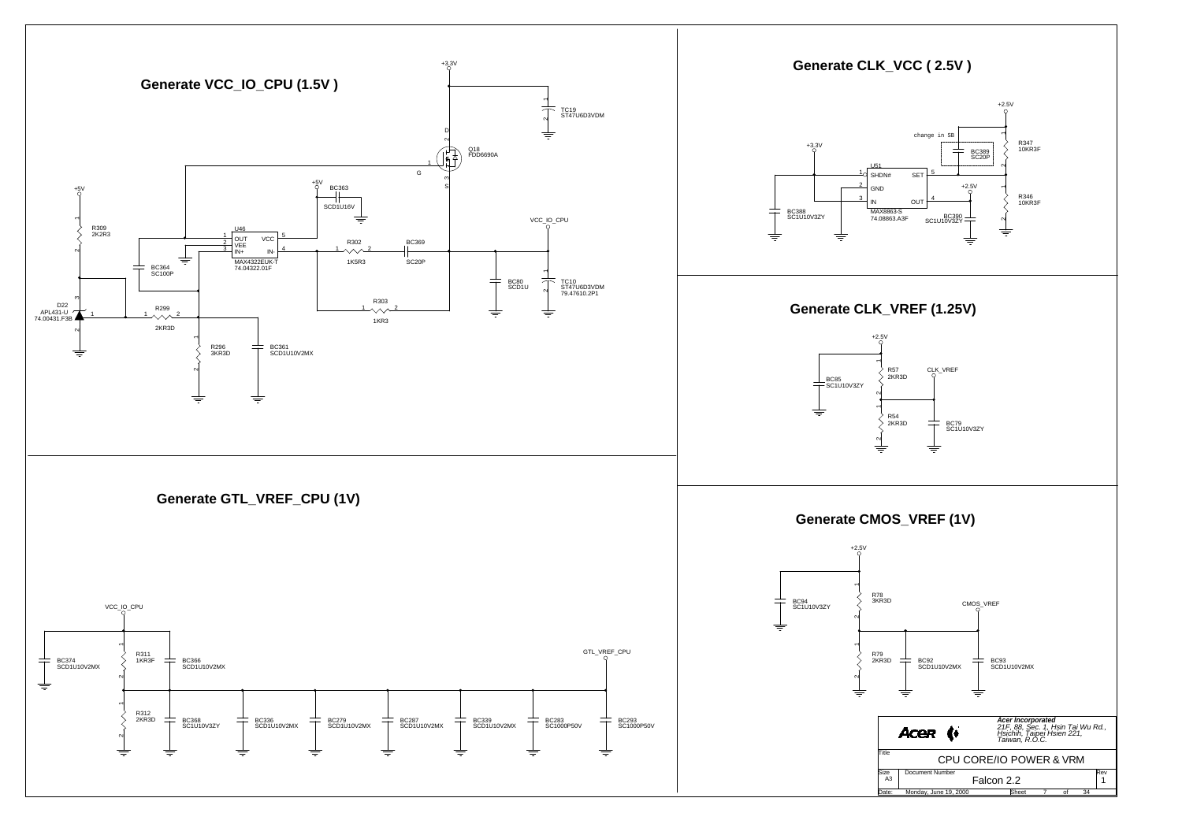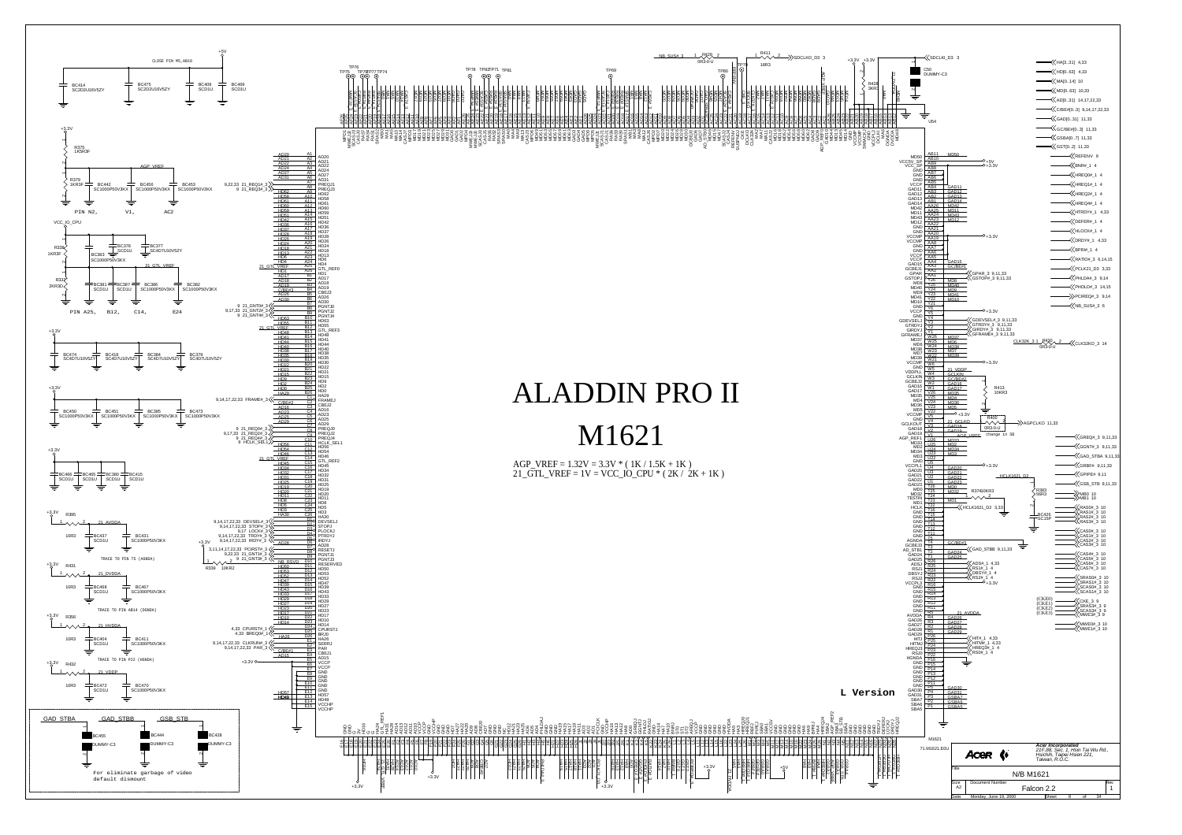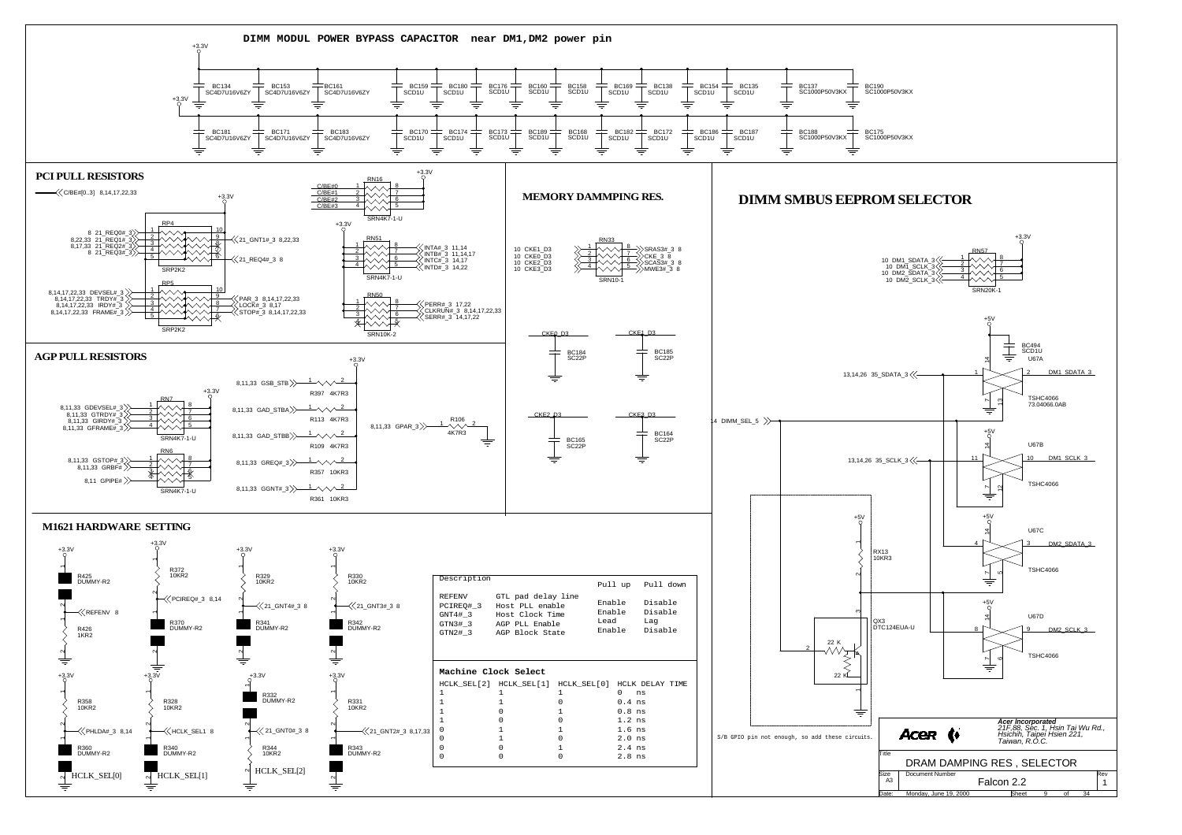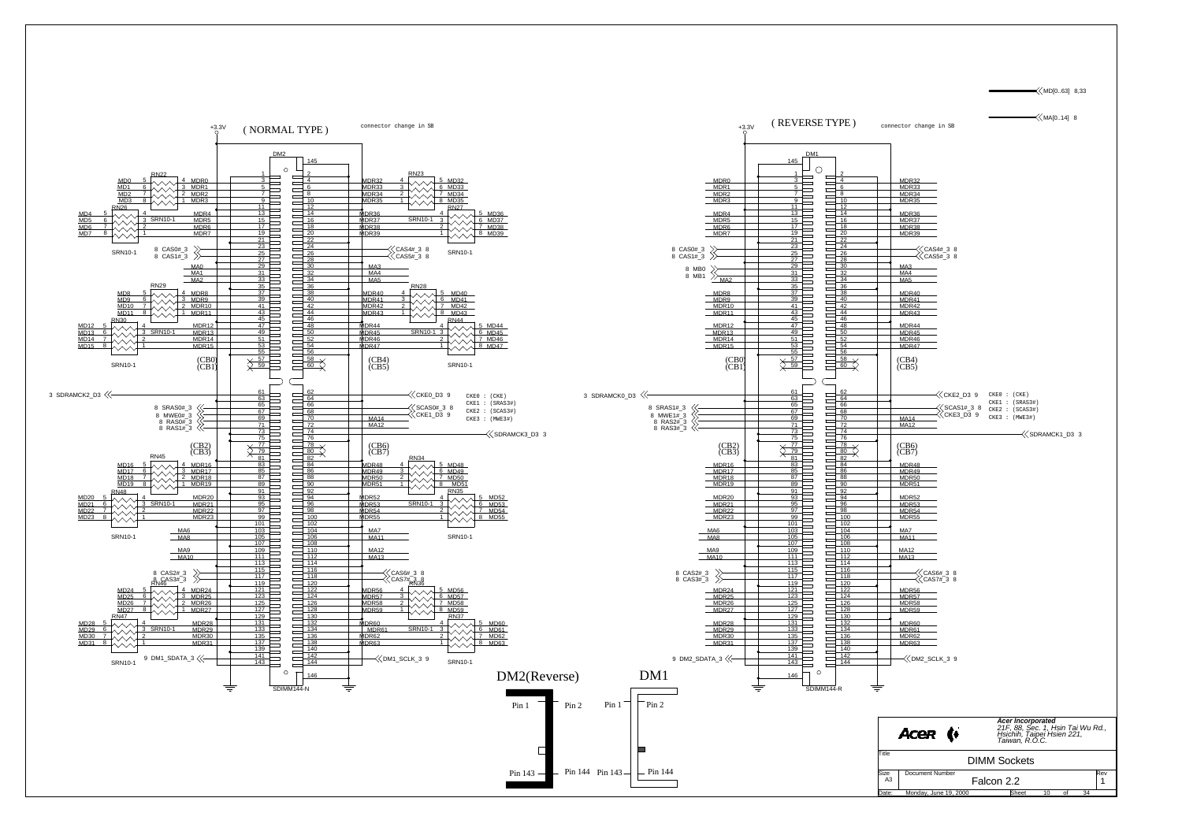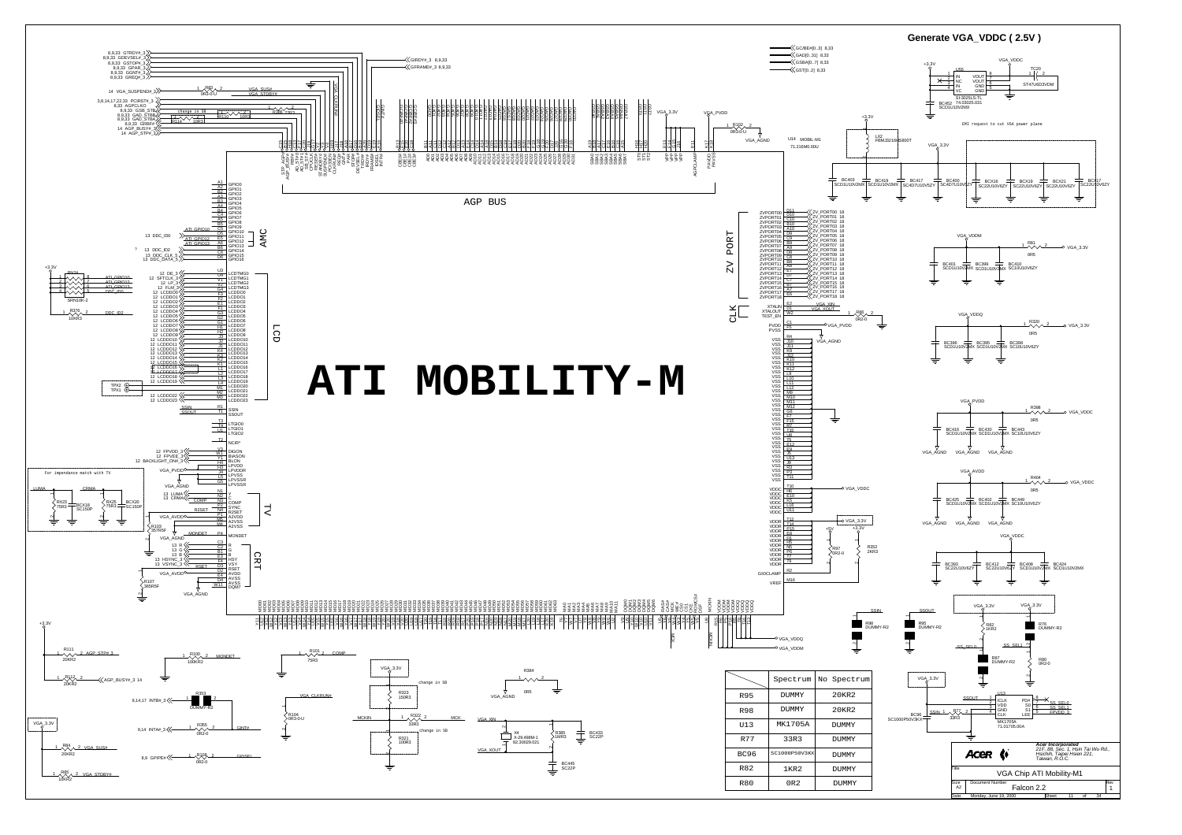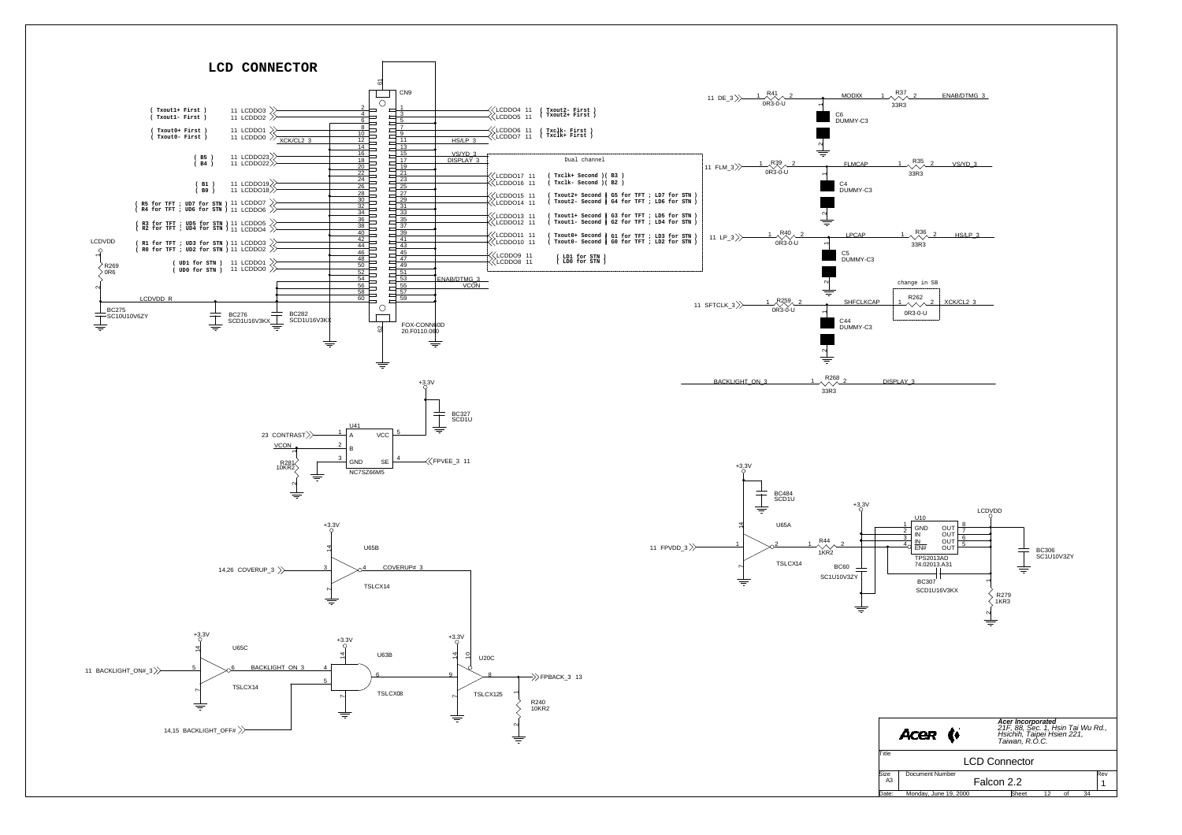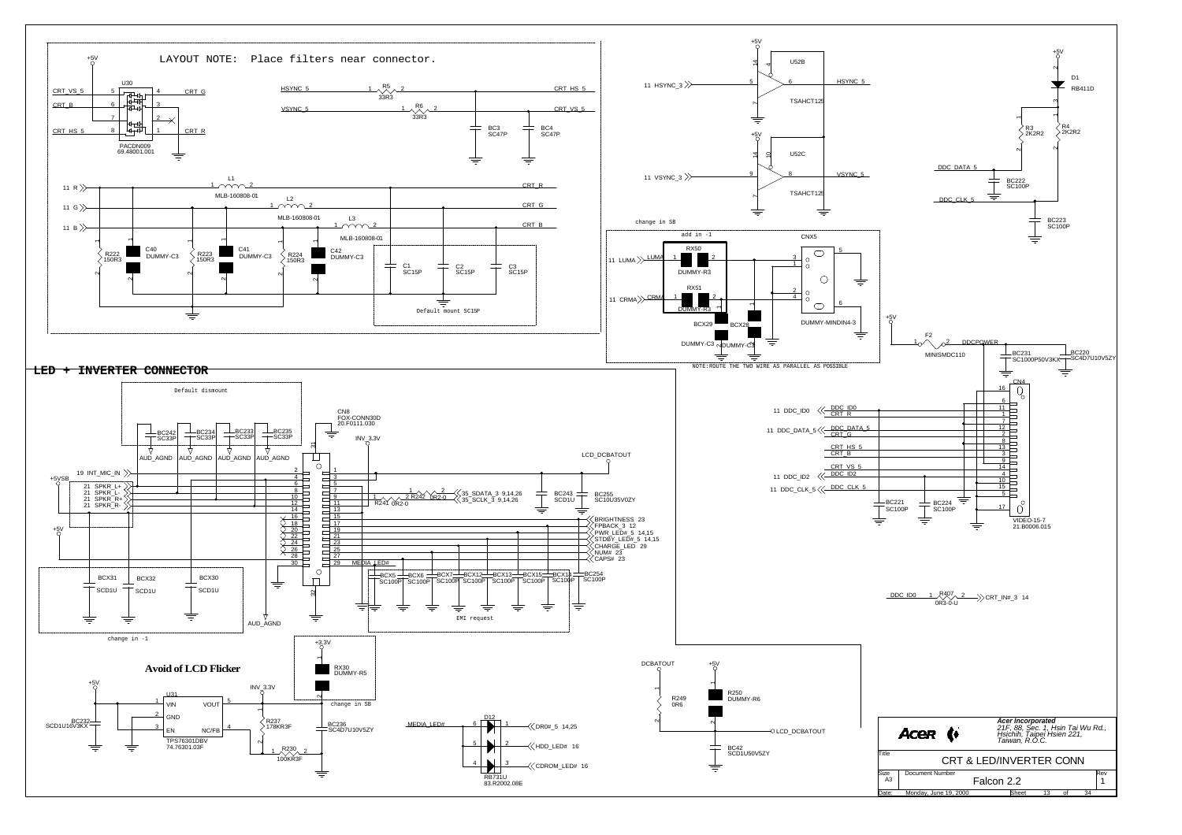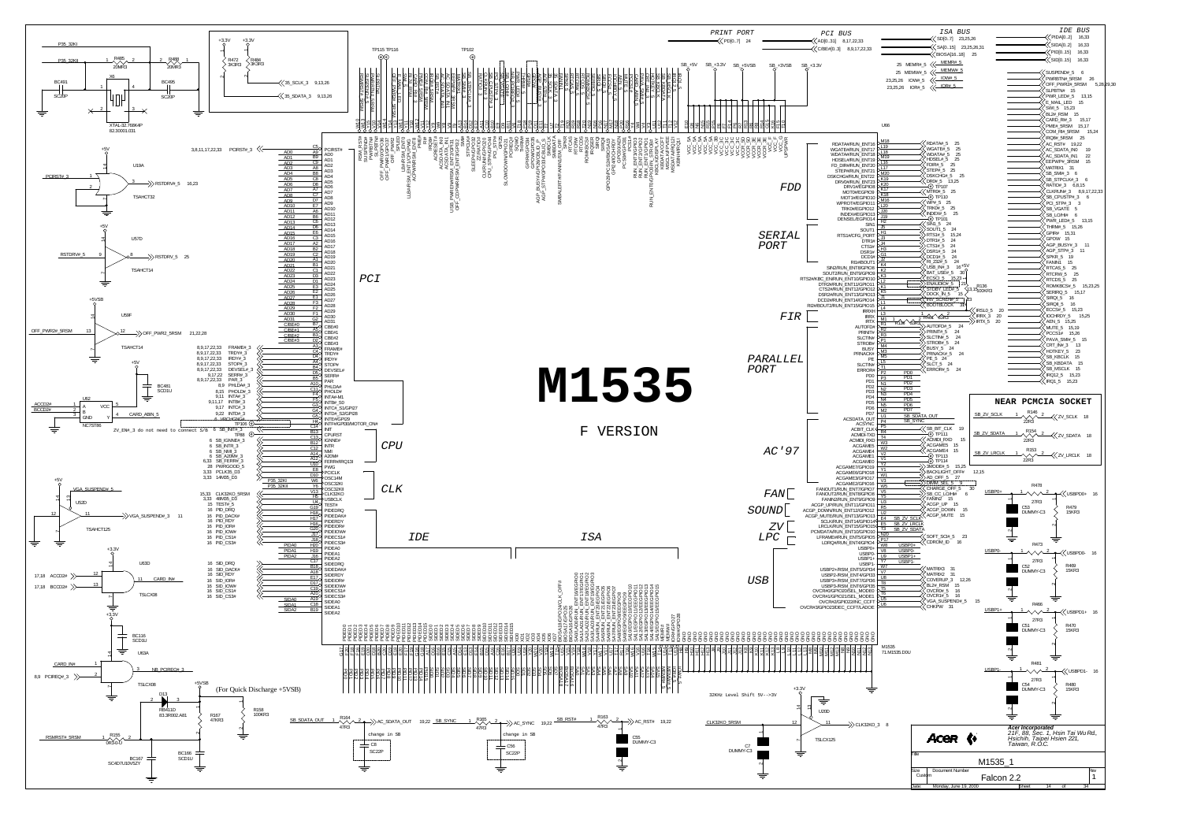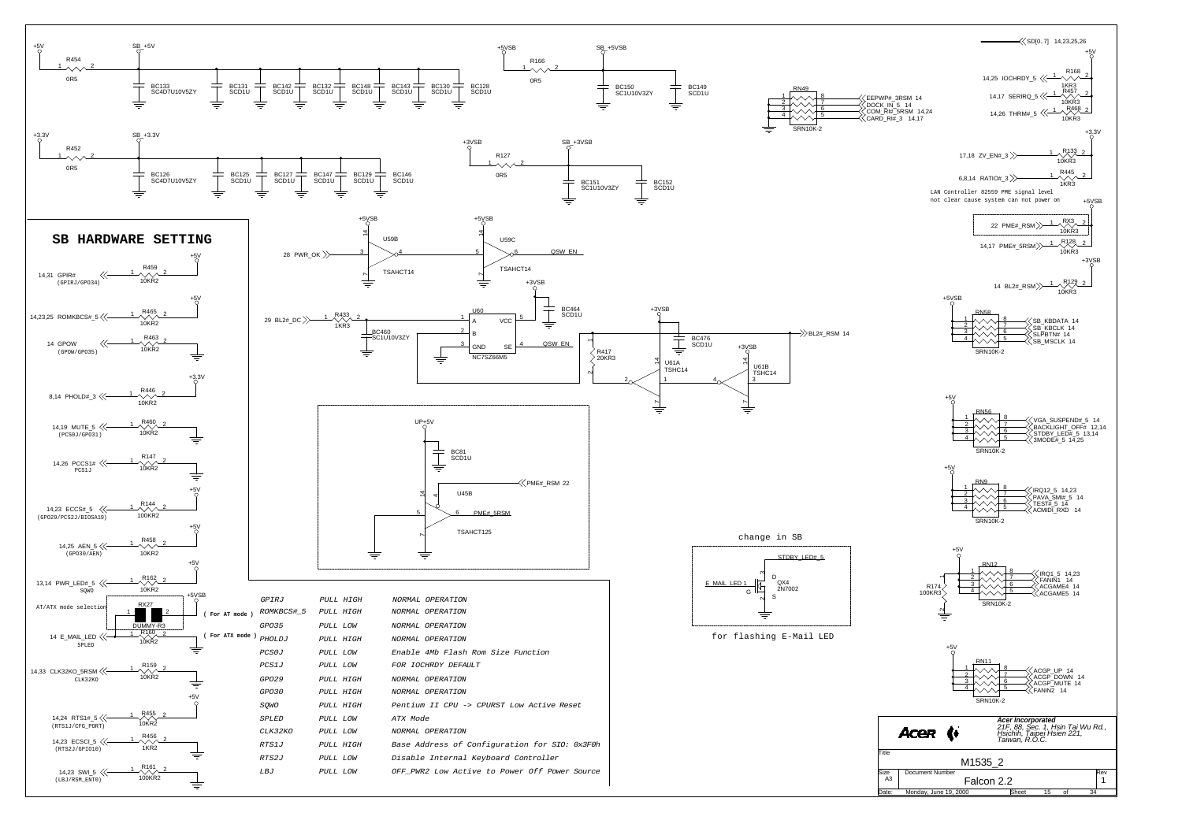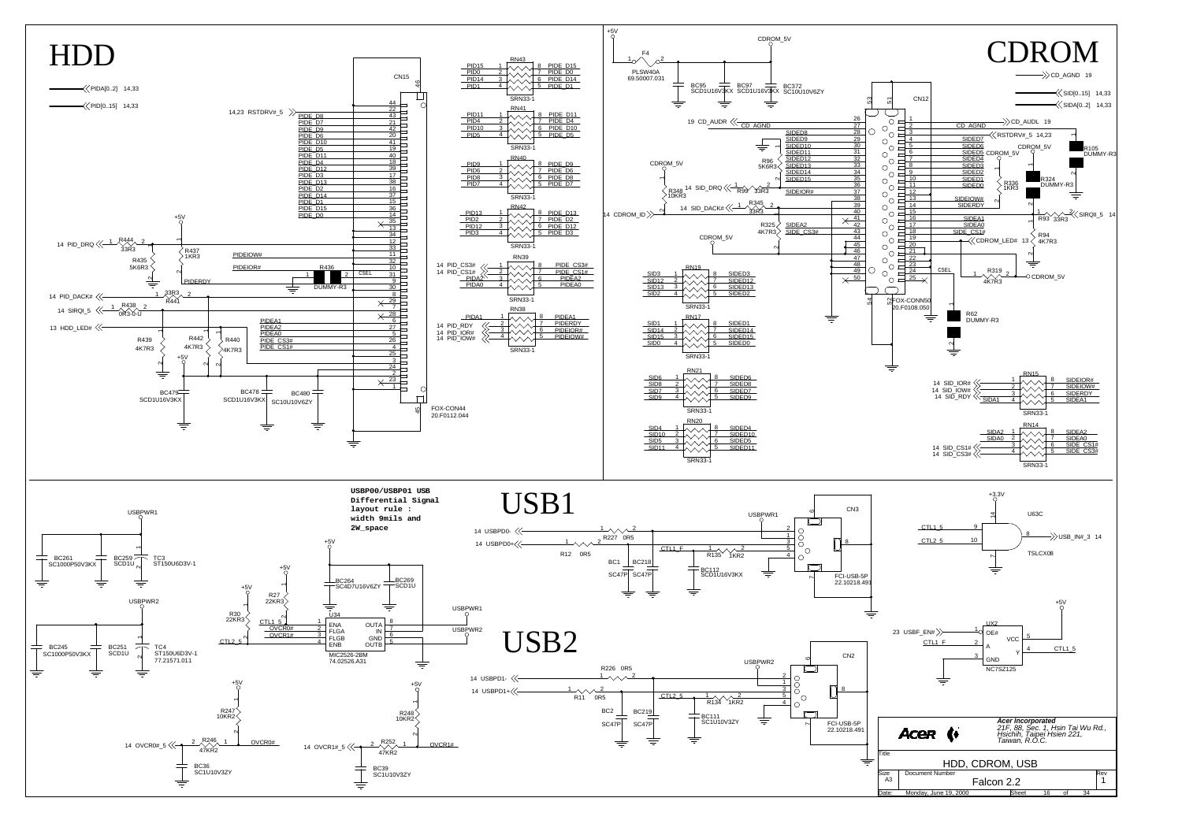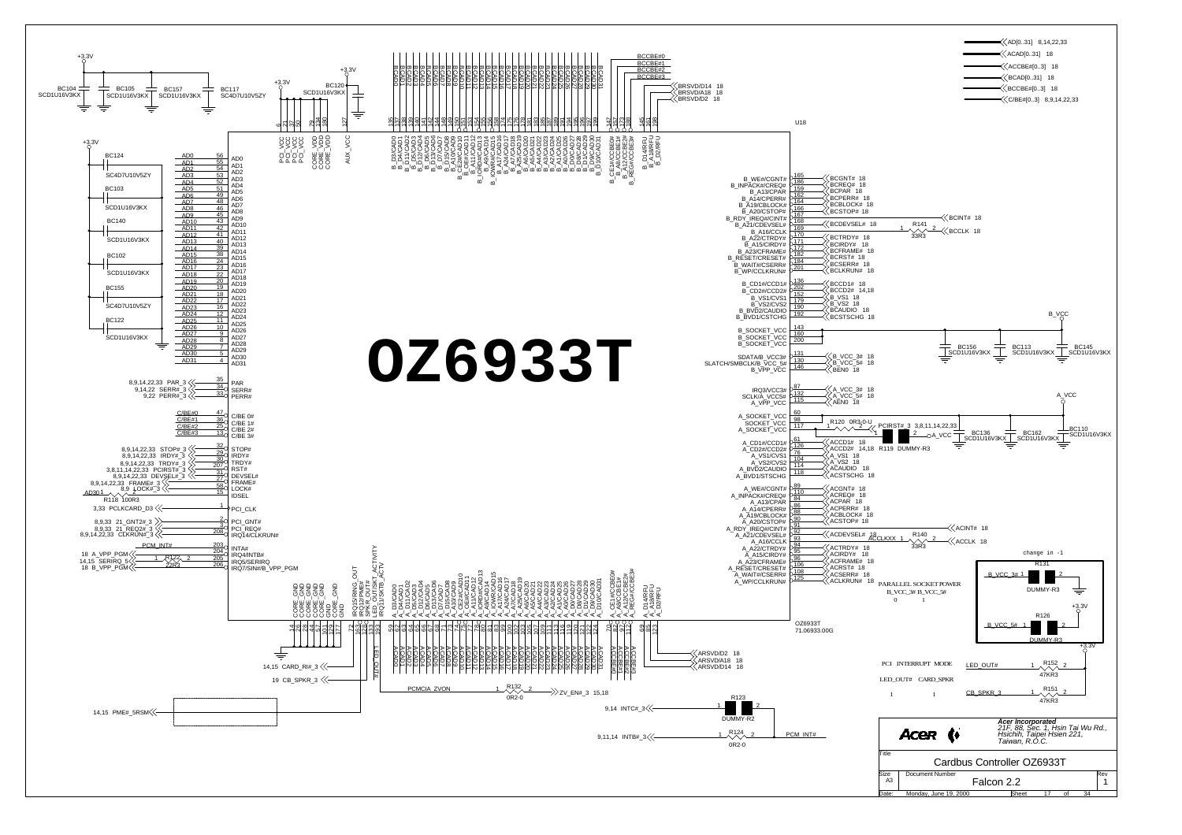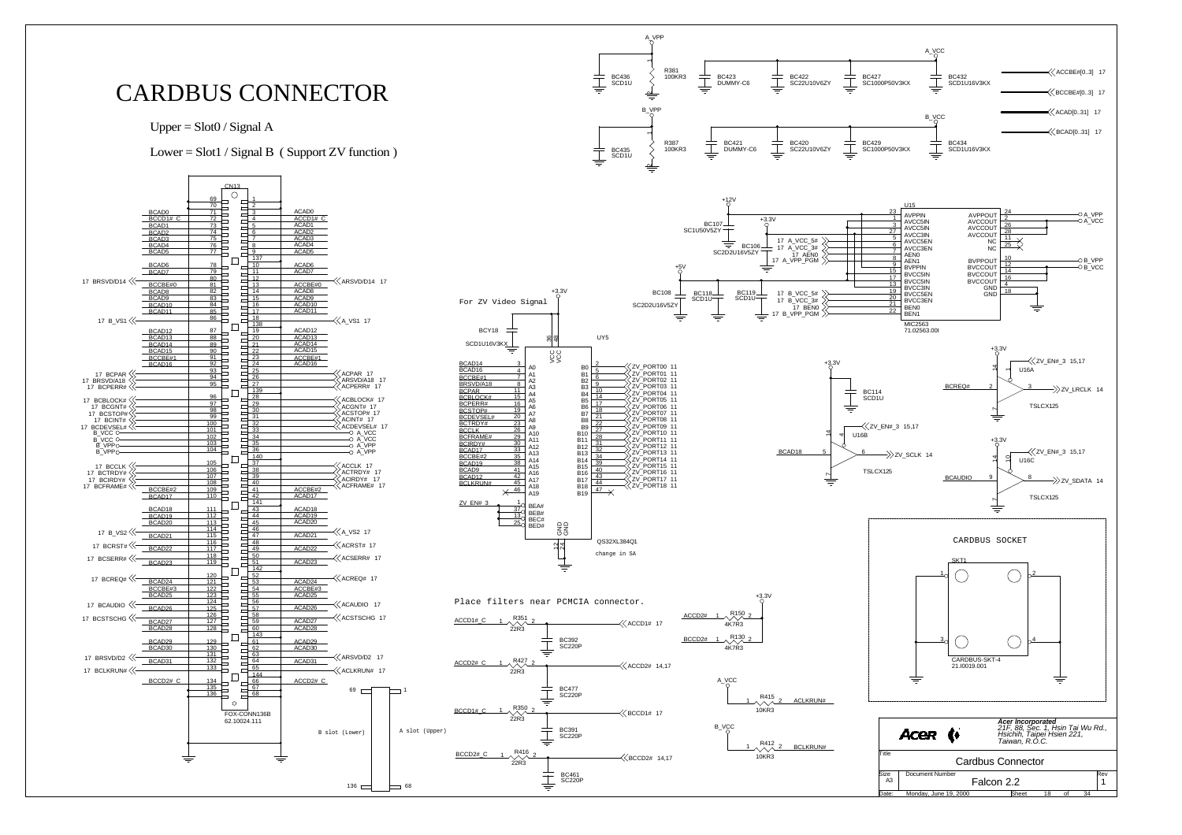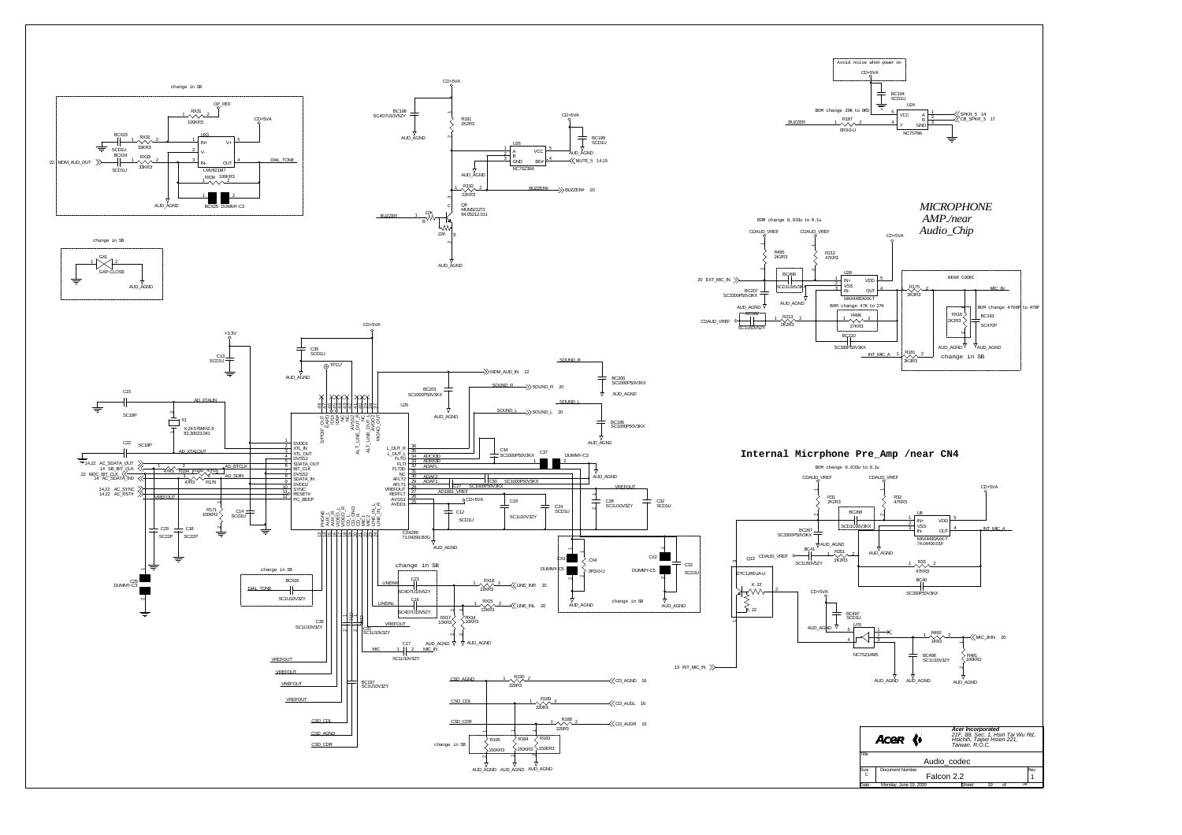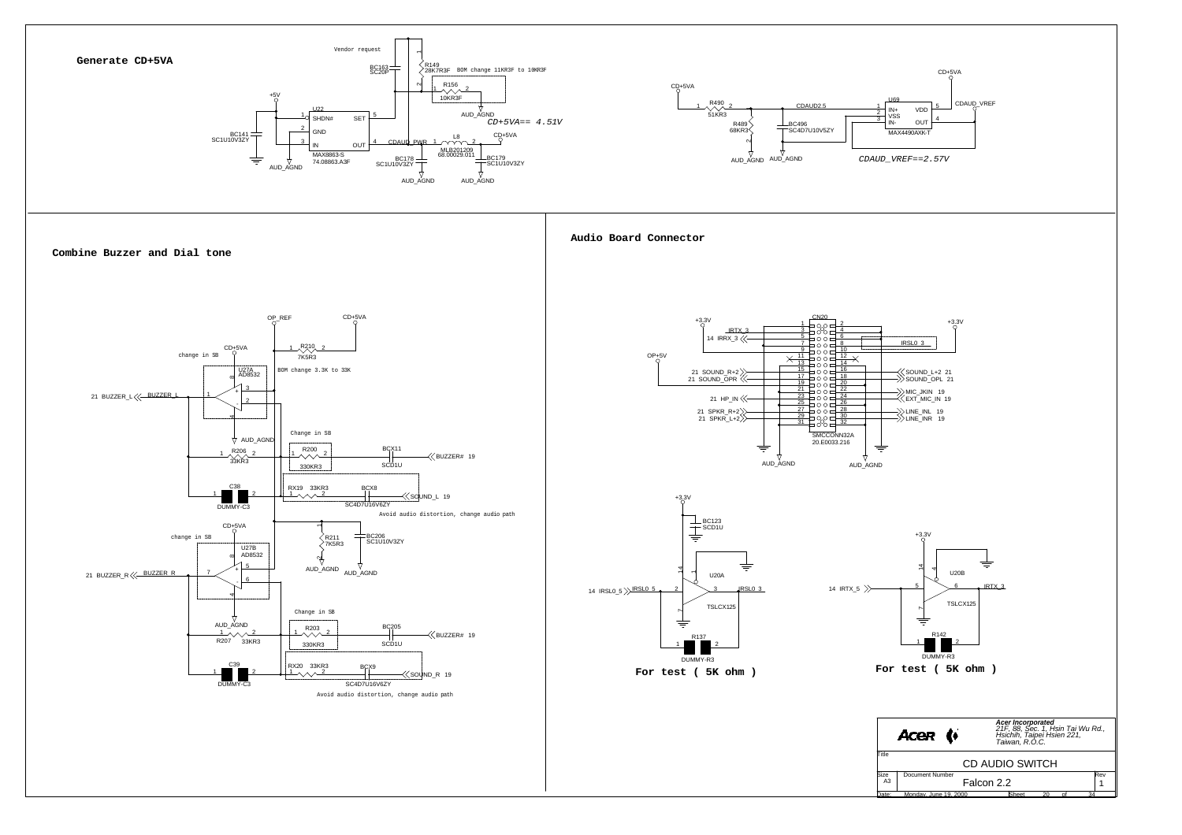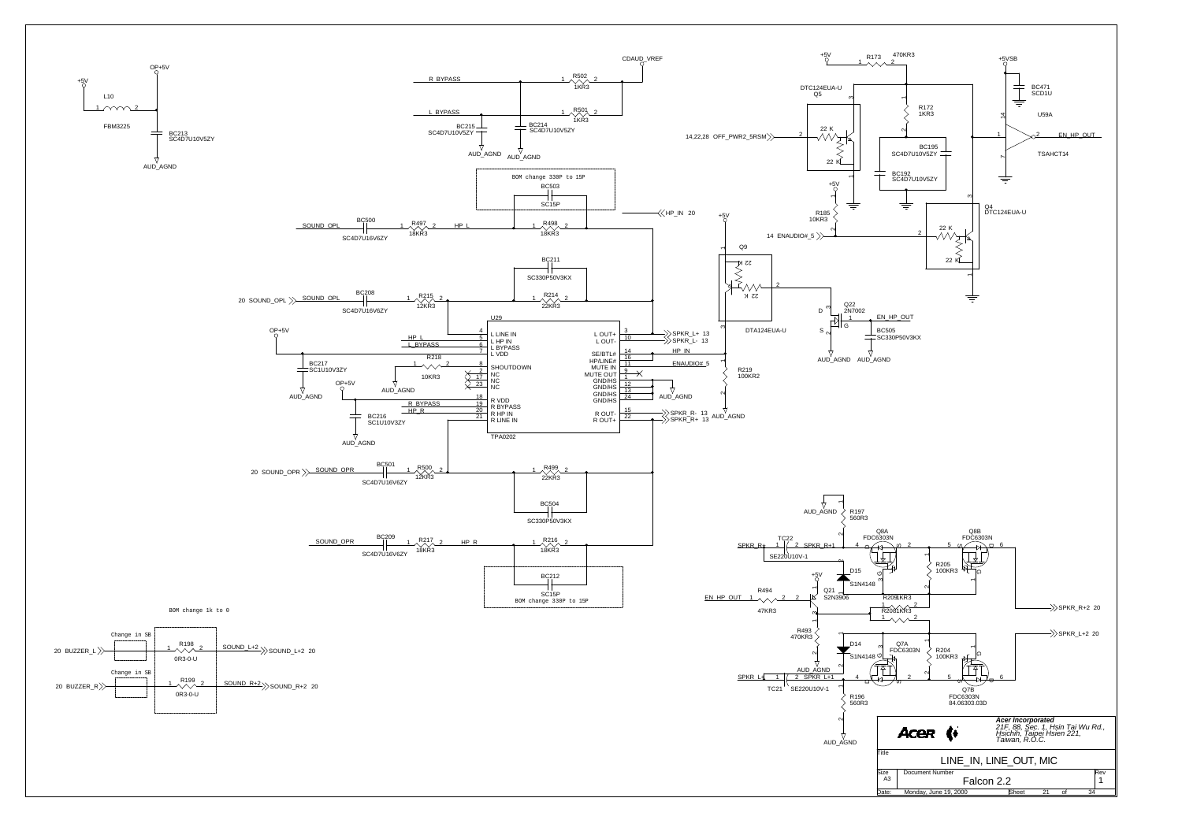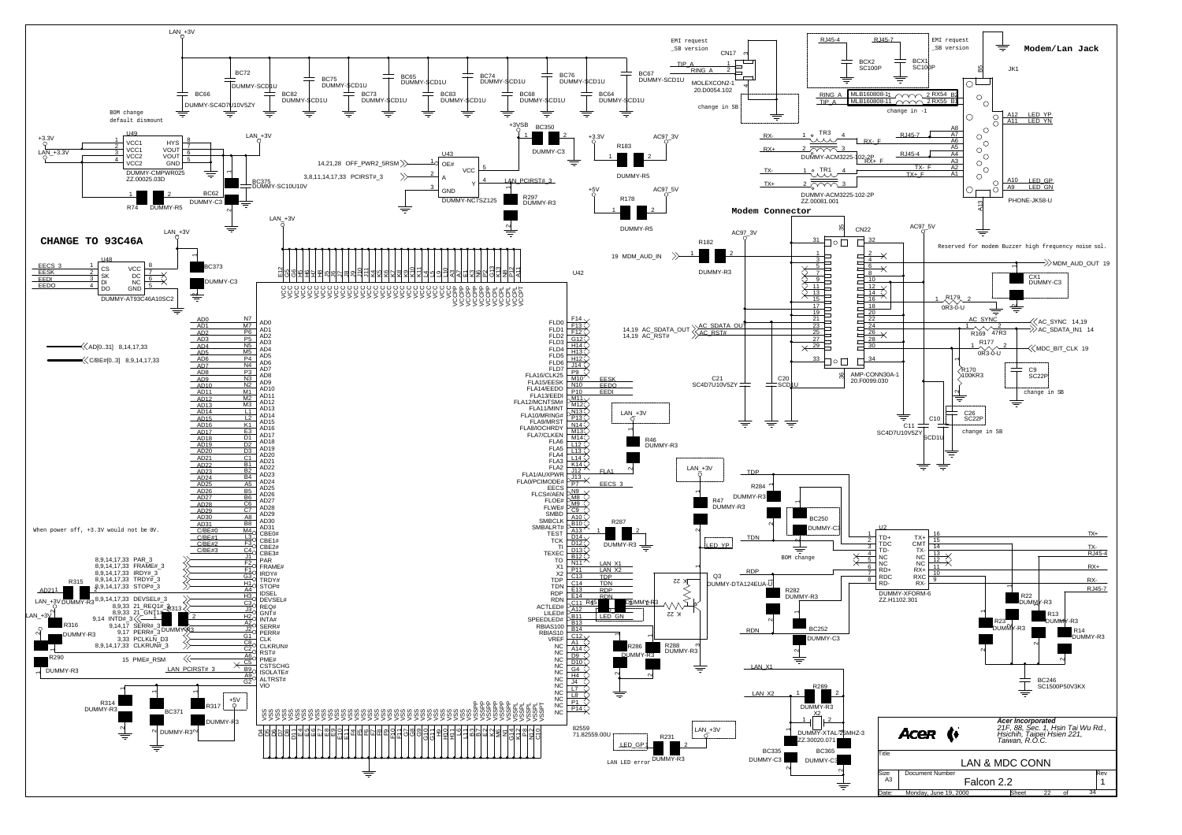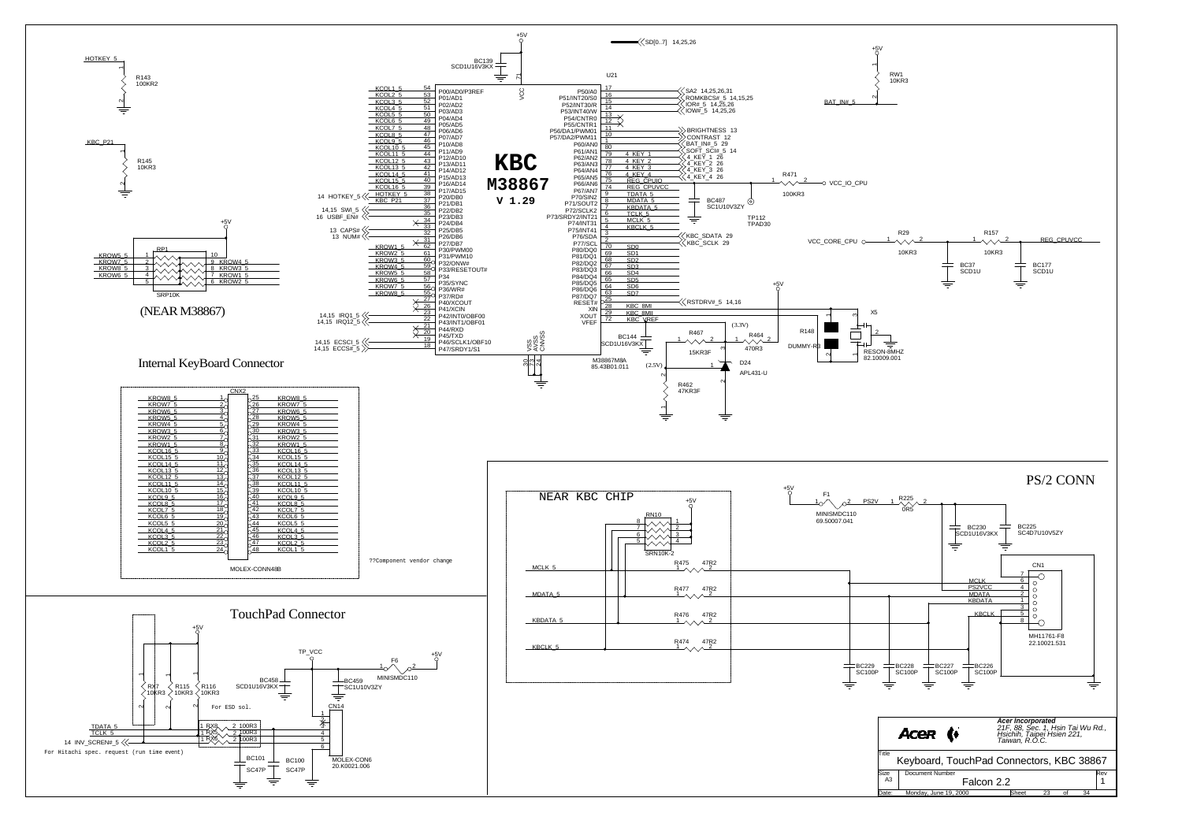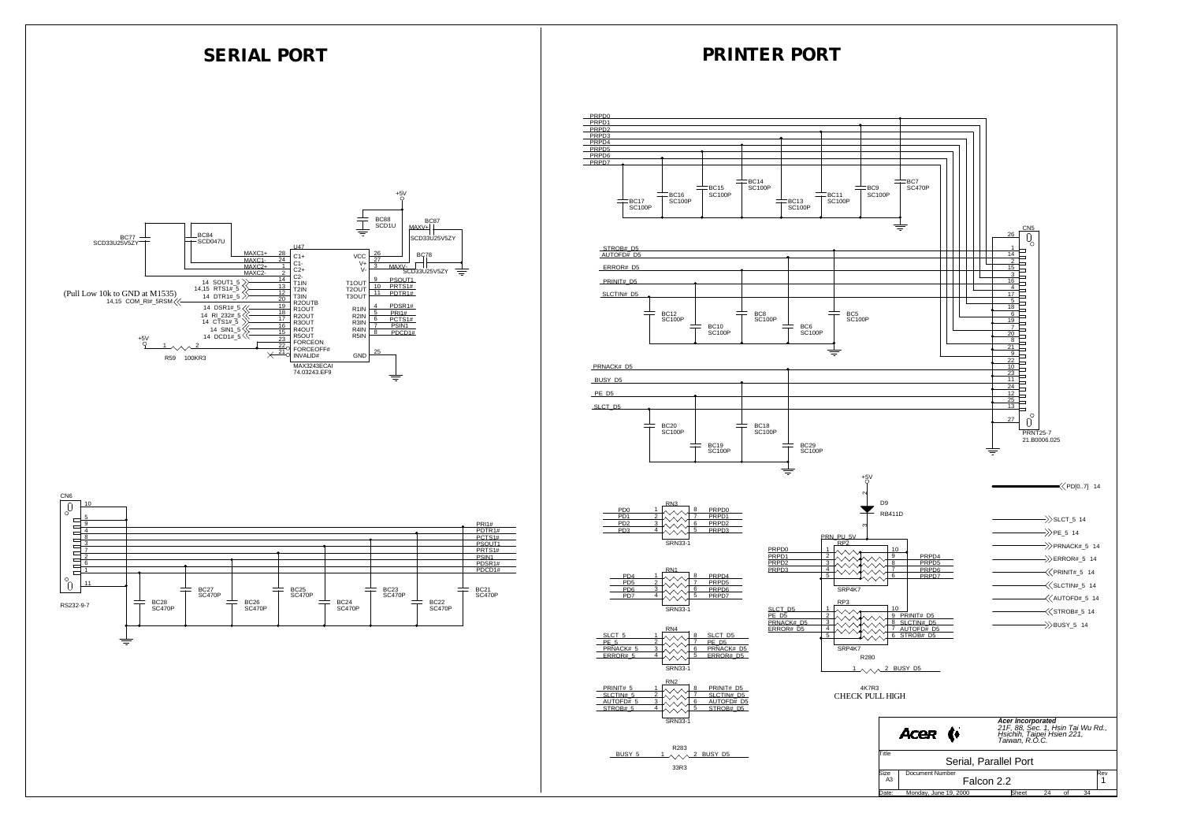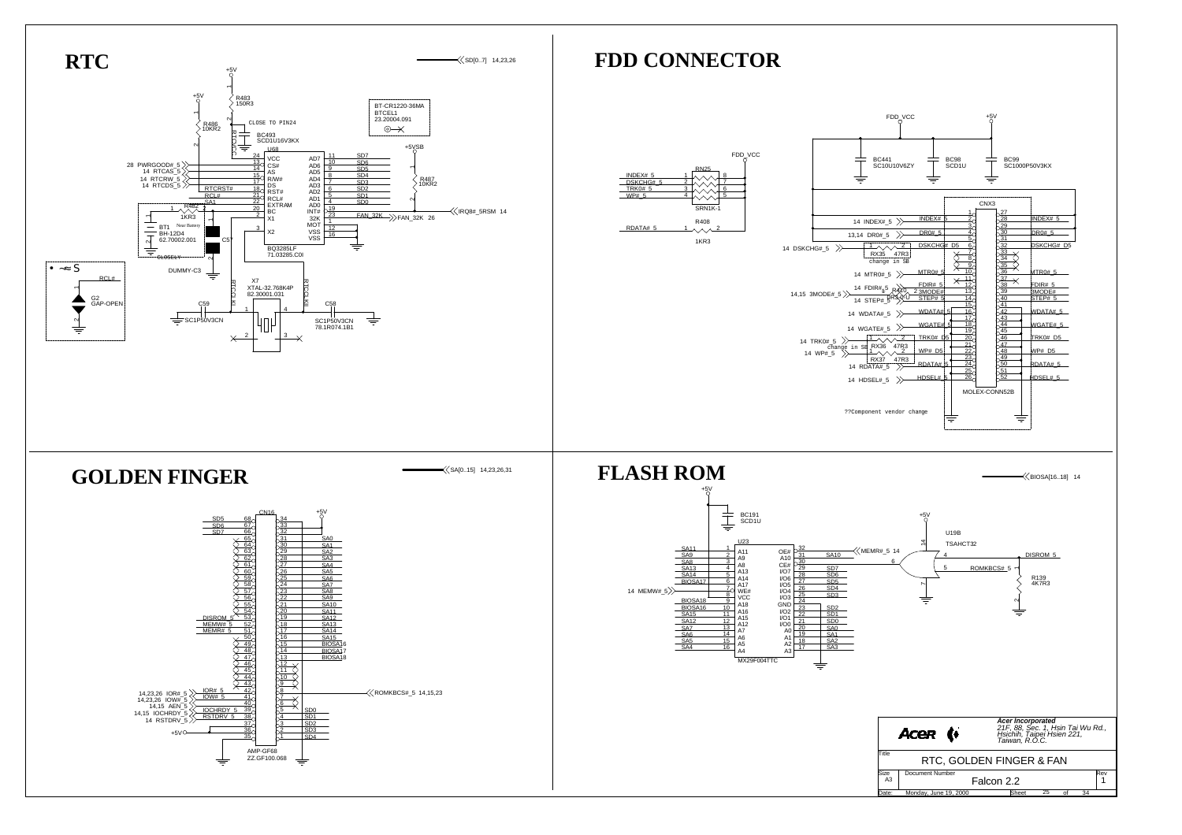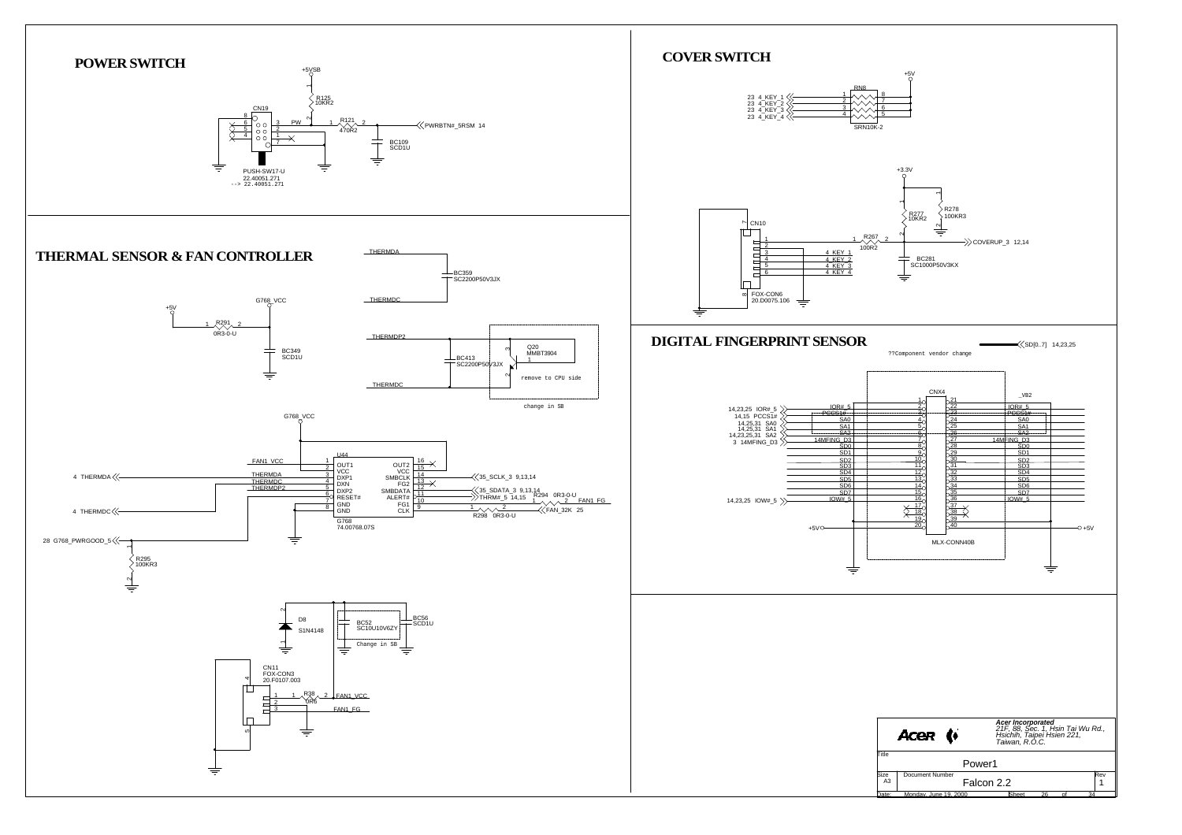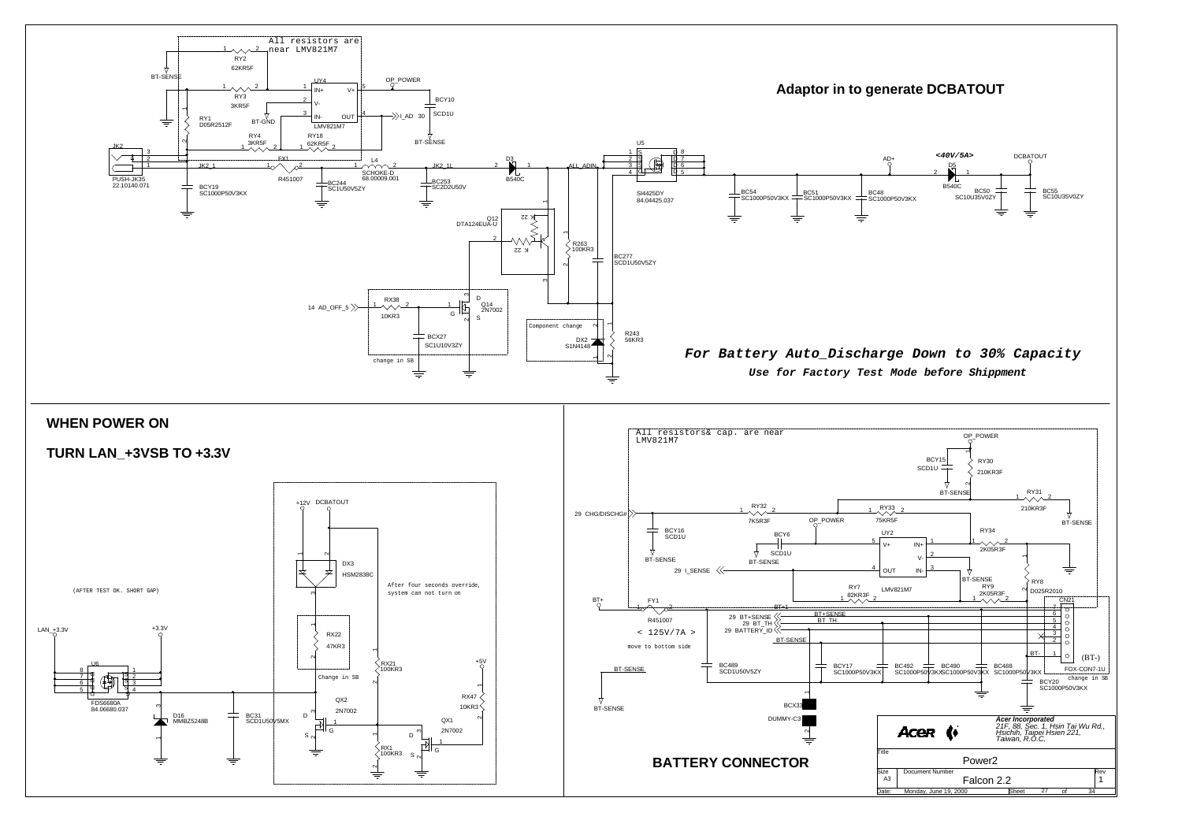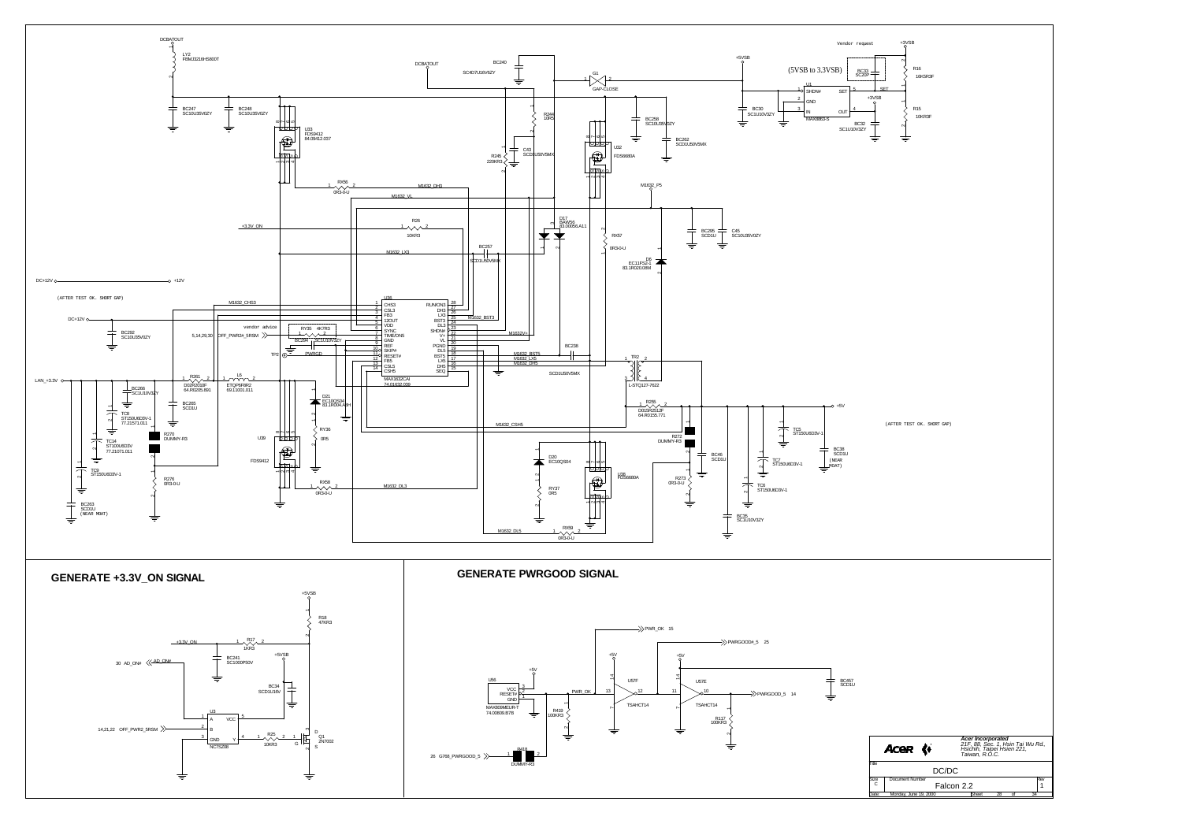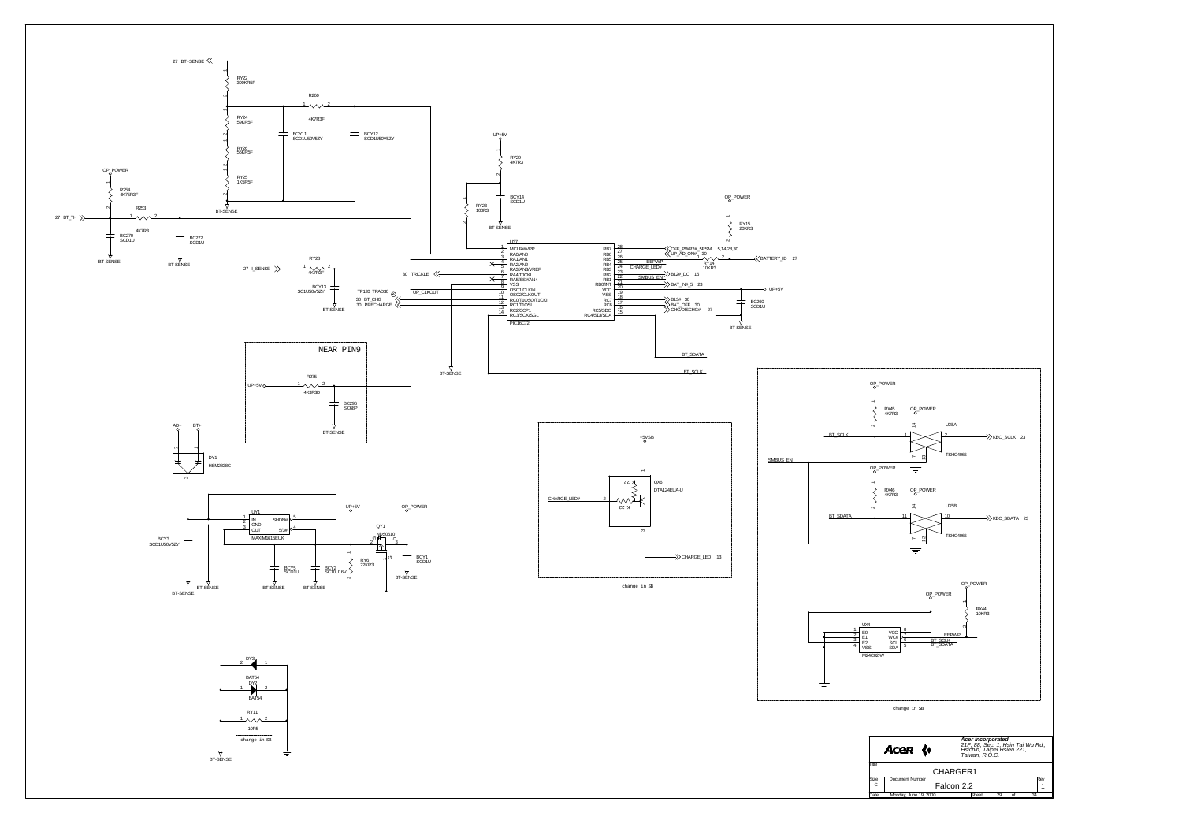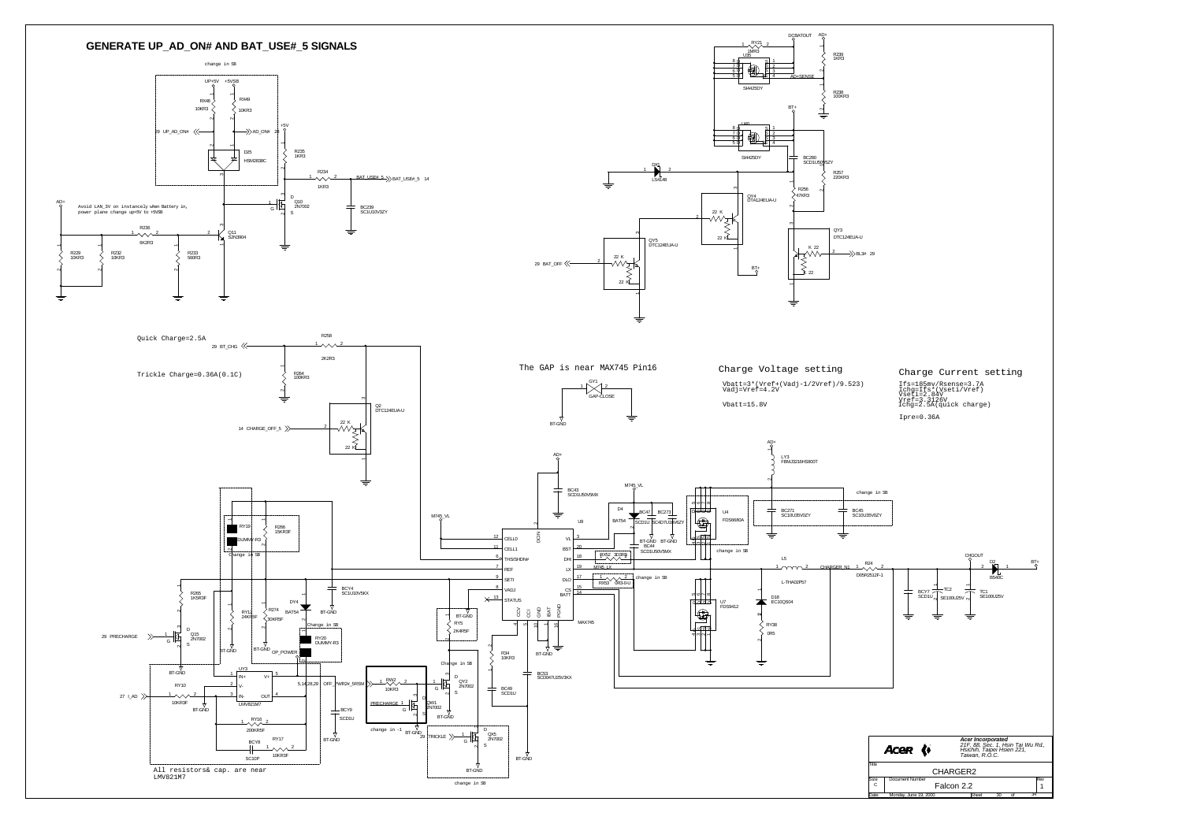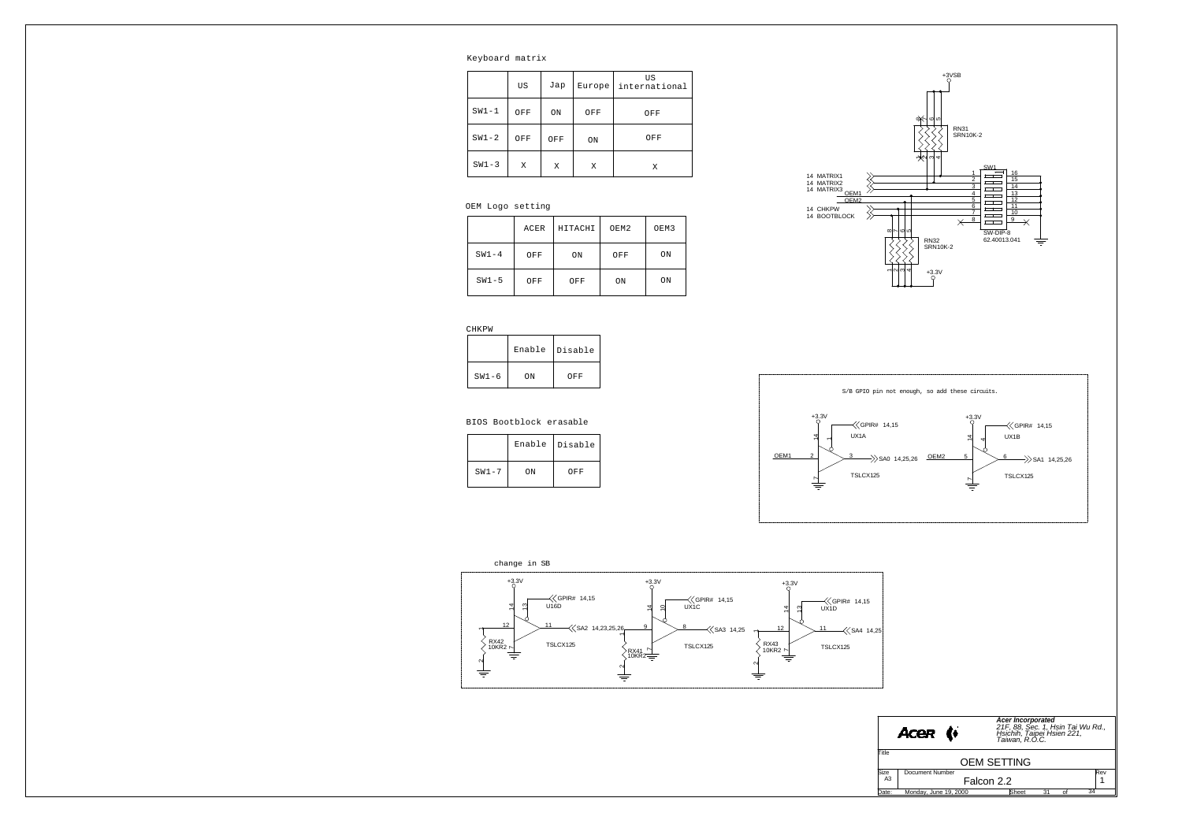Keyboard matrix

|         | US  | Jap | Europe | US<br>international |
|---------|-----|-----|--------|---------------------|
| $SW1-1$ | OFF | ON  | OFF    | OFF                 |
| $SW1-2$ | OFF | OFF | ON     | OFF                 |
| $SW1-3$ | Χ   | X   | X      | Χ                   |

### OEM Logo setting

CHKPW

|         | ACER | HITACHI | OEM2 | OEM3 |
|---------|------|---------|------|------|
| $SW1-4$ | OFF  | ON      | OFF  | ON   |
| $SW1-5$ | OFF  | OFF     | ON   | ON   |



|         | Enable | Disable |
|---------|--------|---------|
| $SW1-6$ | ON     | OFF     |

### BIOS Bootblock erasable

|           | Enable | Disable |
|-----------|--------|---------|
| $SW1 - 7$ | ON     | OFF     |





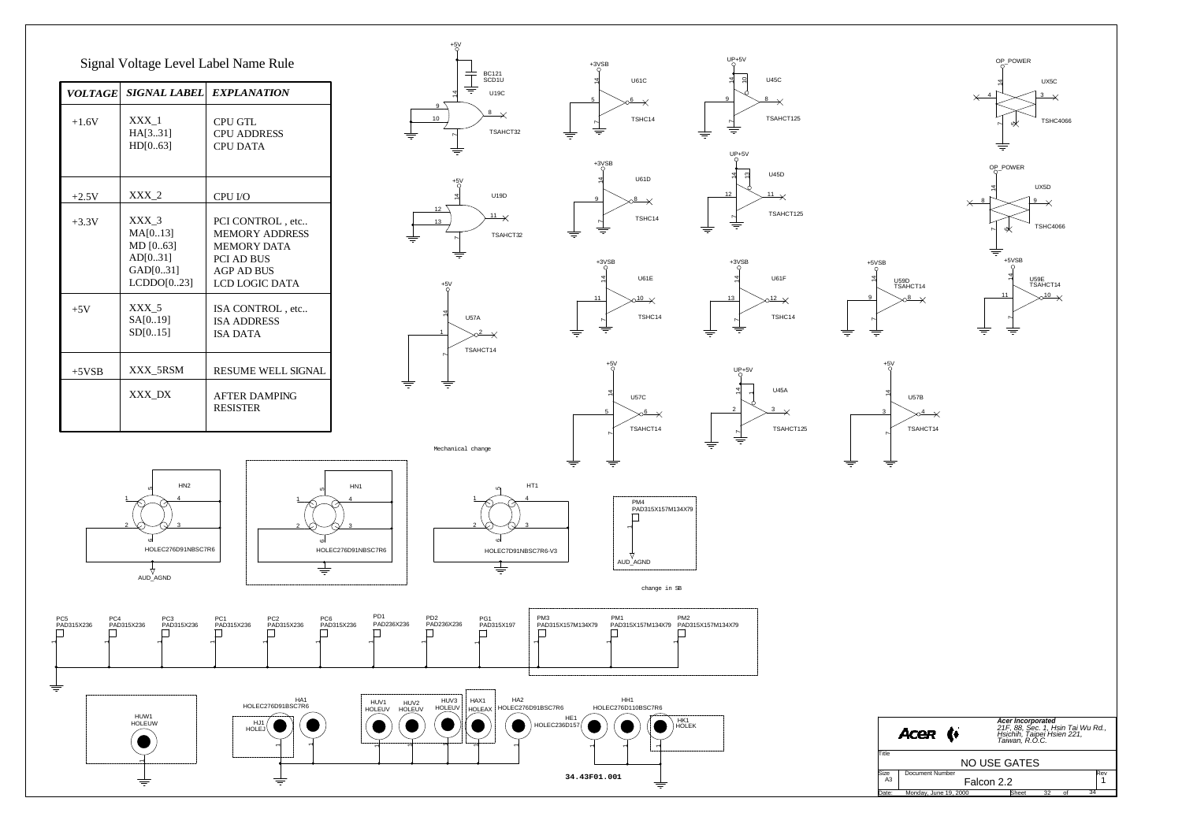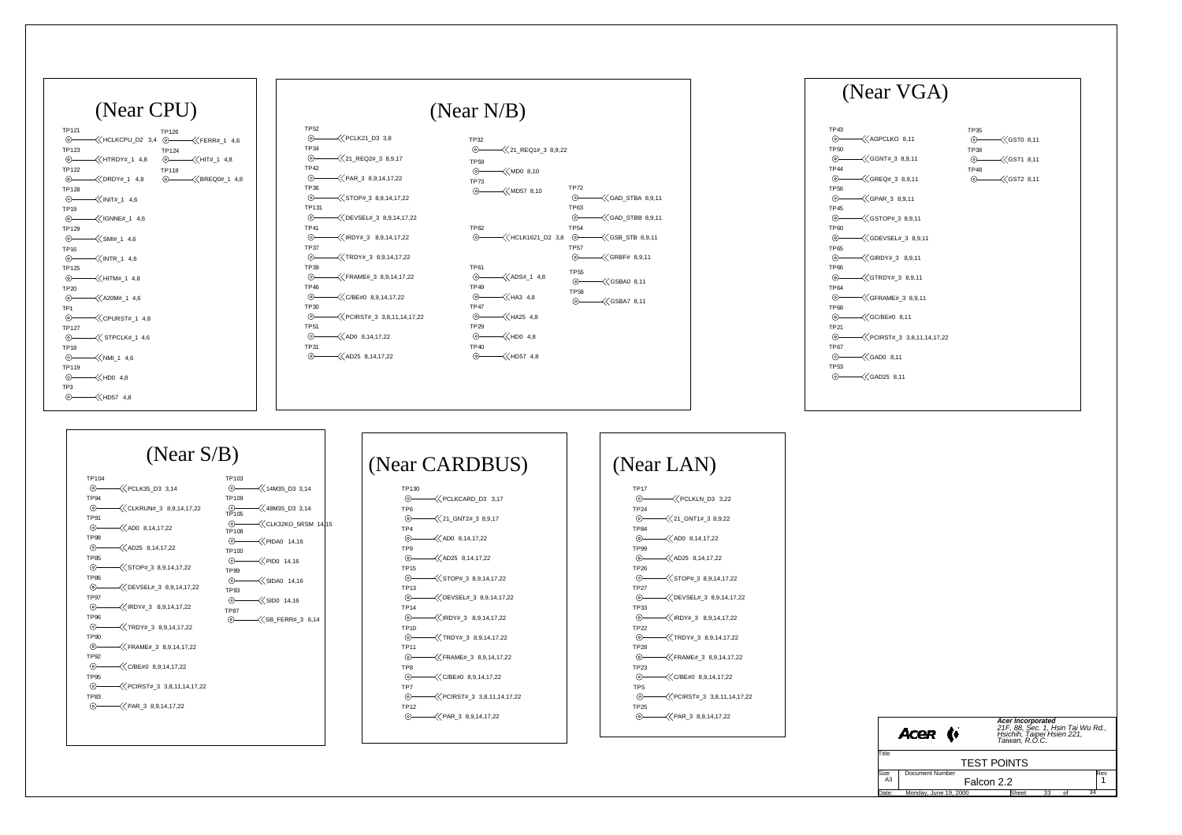